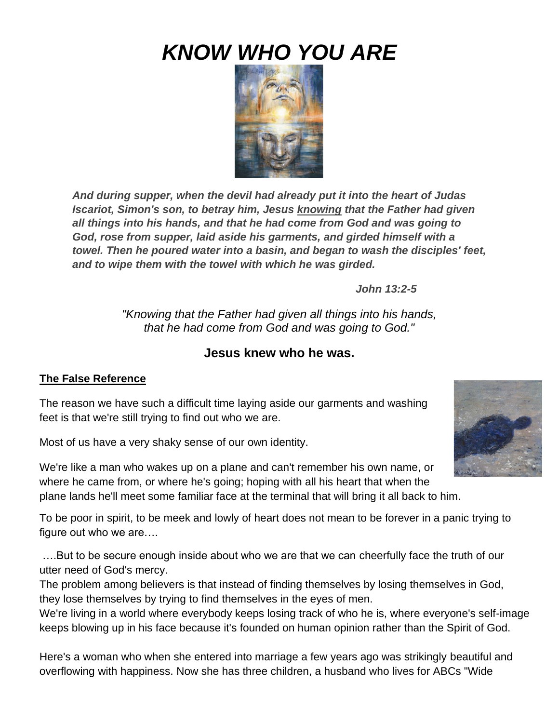# *KNOW WHO YOU ARE*



*And during supper, when the devil had already put it into the heart of Judas Iscariot, Simon's son, to betray him, Jesus knowing that the Father had given all things into his hands, and that he had come from God and was going to God, rose from supper, laid aside his garments, and girded himself with a towel. Then he poured water into a basin, and began to wash the disciples' feet, and to wipe them with the towel with which he was girded.* 

*John 13:2-5*

*"Knowing that the Father had given all things into his hands, that he had come from God and was going to God."*

# **Jesus knew who he was.**

#### **The False Reference**

The reason we have such a difficult time laying aside our garments and washing feet is that we're still trying to find out who we are.

Most of us have a very shaky sense of our own identity.

We're like a man who wakes up on a plane and can't remember his own name, or where he came from, or where he's going; hoping with all his heart that when the plane lands he'll meet some familiar face at the terminal that will bring it all back to him.

To be poor in spirit, to be meek and lowly of heart does not mean to be forever in a panic trying to figure out who we are….

….But to be secure enough inside about who we are that we can cheerfully face the truth of our utter need of God's mercy.

The problem among believers is that instead of finding themselves by losing themselves in God, they lose themselves by trying to find themselves in the eyes of men.

We're living in a world where everybody keeps losing track of who he is, where everyone's self-image keeps blowing up in his face because it's founded on human opinion rather than the Spirit of God.

Here's a woman who when she entered into marriage a few years ago was strikingly beautiful and overflowing with happiness. Now she has three children, a husband who lives for ABCs "Wide

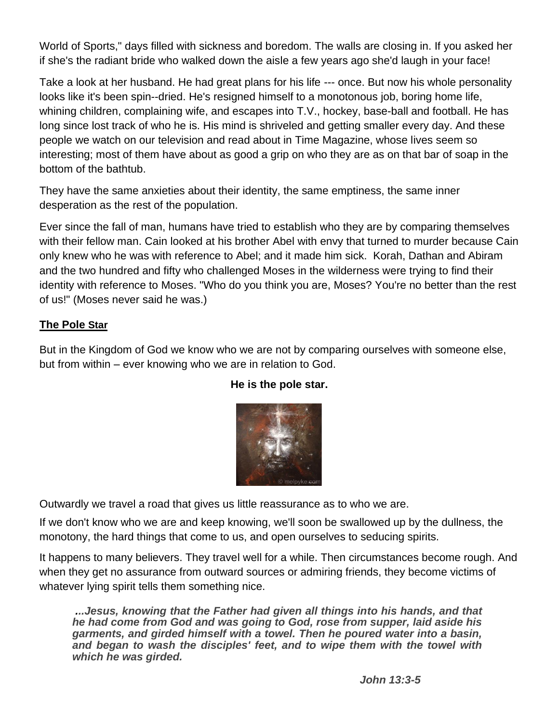World of Sports," days filled with sickness and boredom. The walls are closing in. If you asked her if she's the radiant bride who walked down the aisle a few years ago she'd laugh in your face!

Take a look at her husband. He had great plans for his life --- once. But now his whole personality looks like it's been spin--dried. He's resigned himself to a monotonous job, boring home life, whining children, complaining wife, and escapes into T.V., hockey, base-ball and football. He has long since lost track of who he is. His mind is shriveled and getting smaller every day. And these people we watch on our television and read about in Time Magazine, whose lives seem so interesting; most of them have about as good a grip on who they are as on that bar of soap in the bottom of the bathtub.

They have the same anxieties about their identity, the same emptiness, the same inner desperation as the rest of the population.

Ever since the fall of man, humans have tried to establish who they are by comparing themselves with their fellow man. Cain looked at his brother Abel with envy that turned to murder because Cain only knew who he was with reference to Abel; and it made him sick. Korah, Dathan and Abiram and the two hundred and fifty who challenged Moses in the wilderness were trying to find their identity with reference to Moses. "Who do you think you are, Moses? You're no better than the rest of us!" (Moses never said he was.)

#### **The Pole Star**

But in the Kingdom of God we know who we are not by comparing ourselves with someone else, but from within – ever knowing who we are in relation to God.



#### **He is the pole star.**

Outwardly we travel a road that gives us little reassurance as to who we are.

If we don't know who we are and keep knowing, we'll soon be swallowed up by the dullness, the monotony, the hard things that come to us, and open ourselves to seducing spirits.

It happens to many believers. They travel well for a while. Then circumstances become rough. And when they get no assurance from outward sources or admiring friends, they become victims of whatever lying spirit tells them something nice.

*...Jesus, knowing that the Father had given all things into his hands, and that he had come from God and was going to God, rose from supper, laid aside his garments, and girded himself with a towel. Then he poured water into a basin,*  and began to wash the disciples' feet, and to wipe them with the towel with *which he was girded.*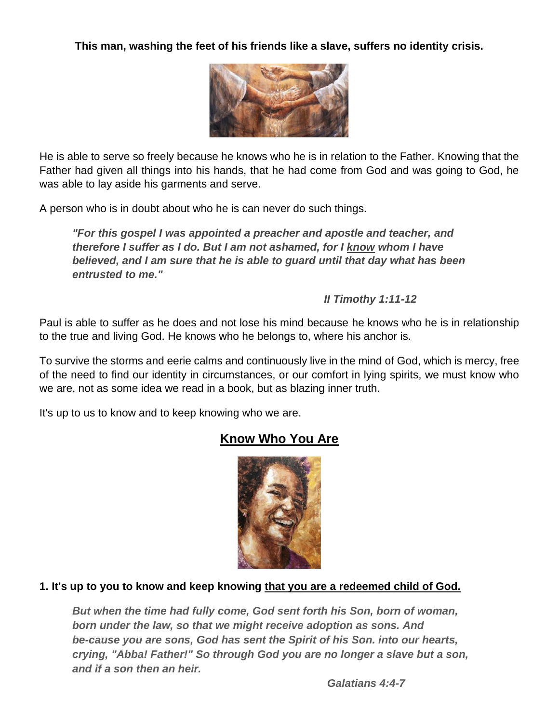**This man, washing the feet of his friends like a slave, suffers no identity crisis.**



He is able to serve so freely because he knows who he is in relation to the Father. Knowing that the Father had given all things into his hands, that he had come from God and was going to God, he was able to lay aside his garments and serve.

A person who is in doubt about who he is can never do such things.

*"For this gospel I was appointed a preacher and apostle and teacher, and therefore I suffer as I do. But I am not ashamed, for I know whom I have believed, and I am sure that he is able to guard until that day what has been entrusted to me."*

*II Timothy 1:11-12*

Paul is able to suffer as he does and not lose his mind because he knows who he is in relationship to the true and living God. He knows who he belongs to, where his anchor is.

To survive the storms and eerie calms and continuously live in the mind of God, which is mercy, free of the need to find our identity in circumstances, or our comfort in lying spirits, we must know who we are, not as some idea we read in a book, but as blazing inner truth.

It's up to us to know and to keep knowing who we are.

# **Know Who You Are**



#### **1. It's up to you to know and keep knowing that you are a redeemed child of God.**

*But when the time had fully come, God sent forth his Son, born of woman, born under the law, so that we might receive adoption as sons. And be-cause you are sons, God has sent the Spirit of his Son. into our hearts, crying, "Abba! Father!" So through God you are no longer a slave but a son, and if a son then an heir.*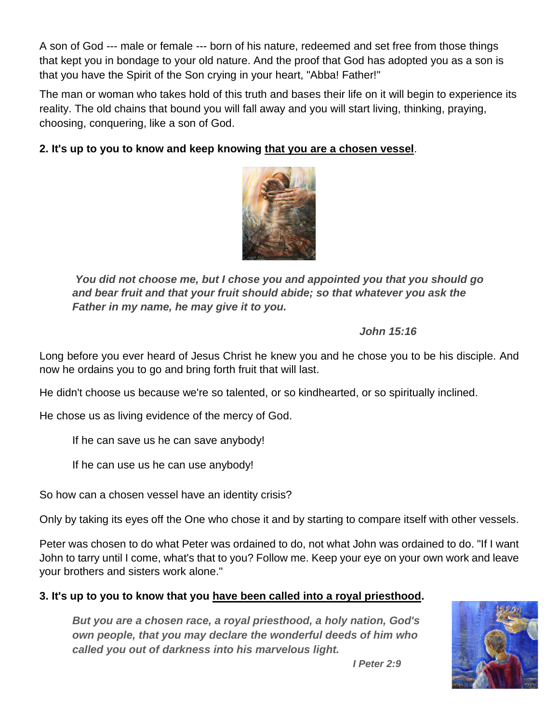A son of God --- male or female --- born of his nature, redeemed and set free from those things that kept you in bondage to your old nature. And the proof that God has adopted you as a son is that you have the Spirit of the Son crying in your heart, "Abba! Father!"

The man or woman who takes hold of this truth and bases their life on it will begin to experience its reality. The old chains that bound you will fall away and you will start living, thinking, praying, choosing, conquering, like a son of God.

### **2. It's up to you to know and keep knowing that you are a chosen vessel**.



*You did not choose me, but I chose you and appointed you that you should go and bear fruit and that your fruit should abide; so that whatever you ask the Father in my name, he may give it to you.* 

#### *John 15:16*

Long before you ever heard of Jesus Christ he knew you and he chose you to be his disciple. And now he ordains you to go and bring forth fruit that will last.

He didn't choose us because we're so talented, or so kindhearted, or so spiritually inclined.

He chose us as living evidence of the mercy of God.

If he can save us he can save anybody!

If he can use us he can use anybody!

So how can a chosen vessel have an identity crisis?

Only by taking its eyes off the One who chose it and by starting to compare itself with other vessels.

Peter was chosen to do what Peter was ordained to do, not what John was ordained to do. "If I want John to tarry until I come, what's that to you? Follow me. Keep your eye on your own work and leave your brothers and sisters work alone."

#### **3. It's up to you to know that you have been called into a royal priesthood.**

*But you are a chosen race, a royal priesthood, a holy nation, God's own people, that you may declare the wonderful deeds of him who called you out of darkness into his marvelous light.* 



*I Peter 2:9*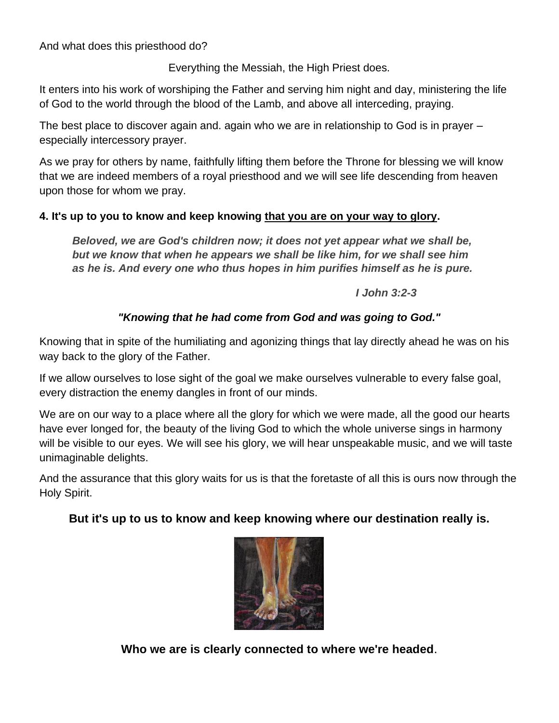And what does this priesthood do?

Everything the Messiah, the High Priest does.

It enters into his work of worshiping the Father and serving him night and day, ministering the life of God to the world through the blood of the Lamb, and above all interceding, praying.

The best place to discover again and. again who we are in relationship to God is in prayer – especially intercessory prayer.

As we pray for others by name, faithfully lifting them before the Throne for blessing we will know that we are indeed members of a royal priesthood and we will see life descending from heaven upon those for whom we pray.

#### **4. It's up to you to know and keep knowing that you are on your way to glory.**

*Beloved, we are God's children now; it does not yet appear what we shall be, but we know that when he appears we shall be like him, for we shall see him as he is. And every one who thus hopes in him purifies himself as he is pure.*

*I John 3:2-3*

## *"Knowing that he had come from God and was going to God."*

Knowing that in spite of the humiliating and agonizing things that lay directly ahead he was on his way back to the glory of the Father.

If we allow ourselves to lose sight of the goal we make ourselves vulnerable to every false goal, every distraction the enemy dangles in front of our minds.

We are on our way to a place where all the glory for which we were made, all the good our hearts have ever longed for, the beauty of the living God to which the whole universe sings in harmony will be visible to our eyes. We will see his glory, we will hear unspeakable music, and we will taste unimaginable delights.

And the assurance that this glory waits for us is that the foretaste of all this is ours now through the Holy Spirit.

# **But it's up to us to know and keep knowing where our destination really is.**



**Who we are is clearly connected to where we're headed**.